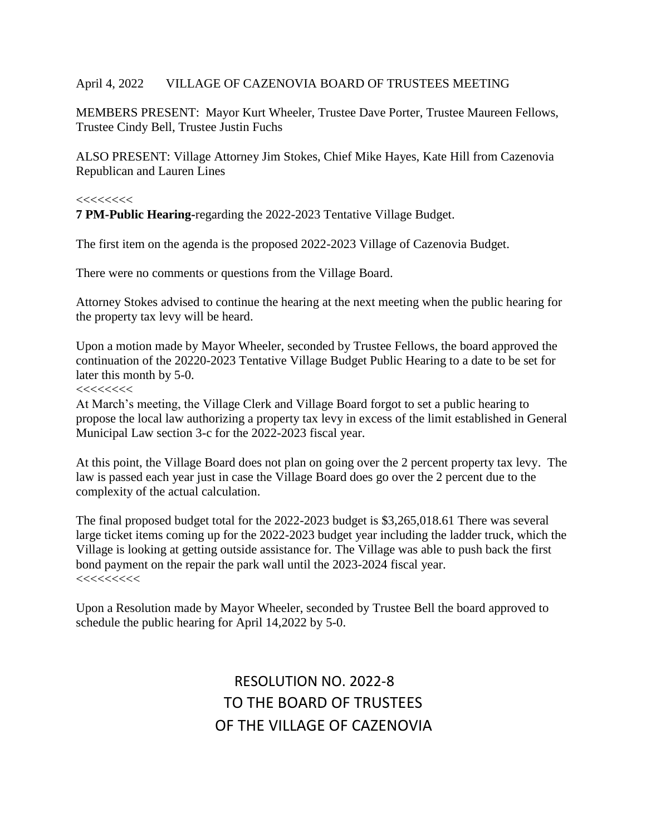#### April 4, 2022 VILLAGE OF CAZENOVIA BOARD OF TRUSTEES MEETING

MEMBERS PRESENT: Mayor Kurt Wheeler, Trustee Dave Porter, Trustee Maureen Fellows, Trustee Cindy Bell, Trustee Justin Fuchs

ALSO PRESENT: Village Attorney Jim Stokes, Chief Mike Hayes, Kate Hill from Cazenovia Republican and Lauren Lines

#### $<<<<<<$

**7 PM-Public Hearing-**regarding the 2022-2023 Tentative Village Budget.

The first item on the agenda is the proposed 2022-2023 Village of Cazenovia Budget.

There were no comments or questions from the Village Board.

Attorney Stokes advised to continue the hearing at the next meeting when the public hearing for the property tax levy will be heard.

Upon a motion made by Mayor Wheeler, seconded by Trustee Fellows, the board approved the continuation of the 20220-2023 Tentative Village Budget Public Hearing to a date to be set for later this month by 5-0.

 $<<<<<<$ 

At March's meeting, the Village Clerk and Village Board forgot to set a public hearing to propose the local law authorizing a property tax levy in excess of the limit established in General Municipal Law section 3-c for the 2022-2023 fiscal year.

At this point, the Village Board does not plan on going over the 2 percent property tax levy. The law is passed each year just in case the Village Board does go over the 2 percent due to the complexity of the actual calculation.

The final proposed budget total for the 2022-2023 budget is \$3,265,018.61 There was several large ticket items coming up for the 2022-2023 budget year including the ladder truck, which the Village is looking at getting outside assistance for. The Village was able to push back the first bond payment on the repair the park wall until the 2023-2024 fiscal year.  $<<<<<<<<$ 

Upon a Resolution made by Mayor Wheeler, seconded by Trustee Bell the board approved to schedule the public hearing for April 14,2022 by 5-0.

> RESOLUTION NO. 2022-8 TO THE BOARD OF TRUSTEES OF THE VILLAGE OF CAZENOVIA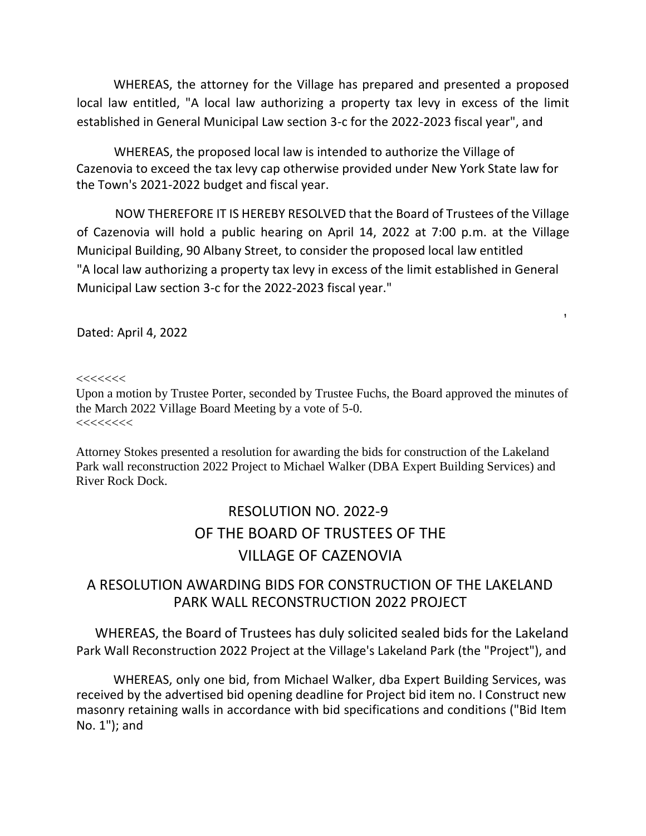WHEREAS, the attorney for the Village has prepared and presented a proposed local law entitled, "A local law authorizing a property tax levy in excess of the limit established in General Municipal Law section 3-c for the 2022-2023 fiscal year", and

WHEREAS, the proposed local law is intended to authorize the Village of Cazenovia to exceed the tax levy cap otherwise provided under New York State law for the Town's 2021-2022 budget and fiscal year.

NOW THEREFORE IT IS HEREBY RESOLVED that the Board of Trustees of the Village of Cazenovia will hold a public hearing on April 14, 2022 at 7:00 p.m. at the Village Municipal Building, 90 Albany Street, to consider the proposed local law entitled "A local law authorizing a property tax levy in excess of the limit established in General Municipal Law section 3-c for the 2022-2023 fiscal year."

,

Dated: April 4, 2022

 $<<<<<<$ 

Upon a motion by Trustee Porter, seconded by Trustee Fuchs, the Board approved the minutes of the March 2022 Village Board Meeting by a vote of 5-0.  $\prec$ <<<<<<<<<<<<<<<<<<<<<<<<<<<<<<<<<

Attorney Stokes presented a resolution for awarding the bids for construction of the Lakeland Park wall reconstruction 2022 Project to Michael Walker (DBA Expert Building Services) and River Rock Dock.

# RESOLUTION NO. 2022-9 OF THE BOARD OF TRUSTEES OF THE VILLAGE OF CAZENOVIA

# A RESOLUTION AWARDING BIDS FOR CONSTRUCTION OF THE LAKELAND PARK WALL RECONSTRUCTION 2022 PROJECT

WHEREAS, the Board of Trustees has duly solicited sealed bids for the Lakeland Park Wall Reconstruction 2022 Project at the Village's Lakeland Park (the "Project"), and

WHEREAS, only one bid, from Michael Walker, dba Expert Building Services, was received by the advertised bid opening deadline for Project bid item no. I Construct new masonry retaining walls in accordance with bid specifications and conditions ("Bid Item No. 1"); and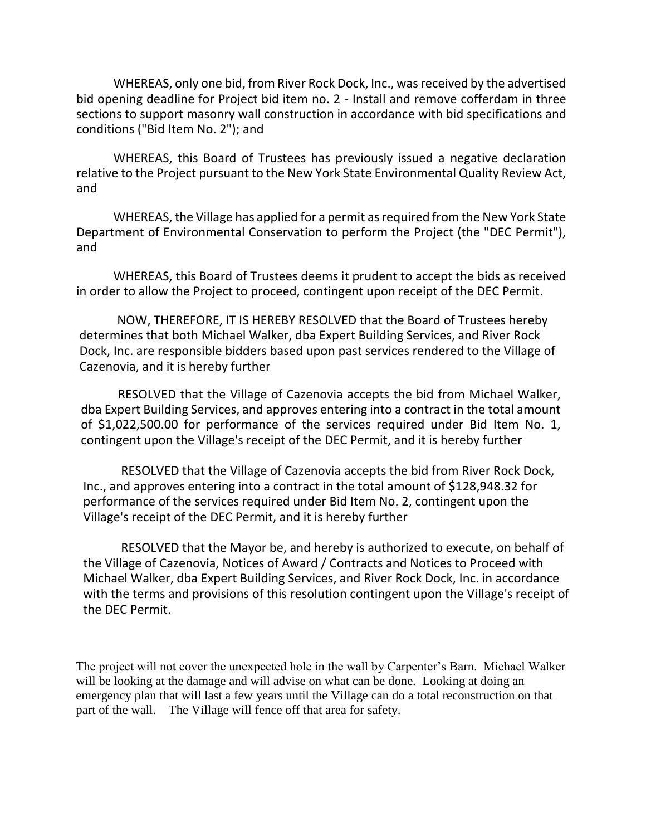WHEREAS, only one bid, from River Rock Dock, Inc., was received by the advertised bid opening deadline for Project bid item no. 2 - Install and remove cofferdam in three sections to support masonry wall construction in accordance with bid specifications and conditions ("Bid Item No. 2"); and

WHEREAS, this Board of Trustees has previously issued a negative declaration relative to the Project pursuant to the New York State Environmental Quality Review Act, and

WHEREAS, the Village has applied for a permit as required from the New York State Department of Environmental Conservation to perform the Project (the "DEC Permit"), and

WHEREAS, this Board of Trustees deems it prudent to accept the bids as received in order to allow the Project to proceed, contingent upon receipt of the DEC Permit.

NOW, THEREFORE, IT IS HEREBY RESOLVED that the Board of Trustees hereby determines that both Michael Walker, dba Expert Building Services, and River Rock Dock, Inc. are responsible bidders based upon past services rendered to the Village of Cazenovia, and it is hereby further

RESOLVED that the Village of Cazenovia accepts the bid from Michael Walker, dba Expert Building Services, and approves entering into a contract in the total amount of \$1,022,500.00 for performance of the services required under Bid Item No. 1, contingent upon the Village's receipt of the DEC Permit, and it is hereby further

RESOLVED that the Village of Cazenovia accepts the bid from River Rock Dock, Inc., and approves entering into a contract in the total amount of \$128,948.32 for performance of the services required under Bid Item No. 2, contingent upon the Village's receipt of the DEC Permit, and it is hereby further

RESOLVED that the Mayor be, and hereby is authorized to execute, on behalf of the Village of Cazenovia, Notices of Award / Contracts and Notices to Proceed with Michael Walker, dba Expert Building Services, and River Rock Dock, Inc. in accordance with the terms and provisions of this resolution contingent upon the Village's receipt of the DEC Permit.

The project will not cover the unexpected hole in the wall by Carpenter's Barn. Michael Walker will be looking at the damage and will advise on what can be done. Looking at doing an emergency plan that will last a few years until the Village can do a total reconstruction on that part of the wall. The Village will fence off that area for safety.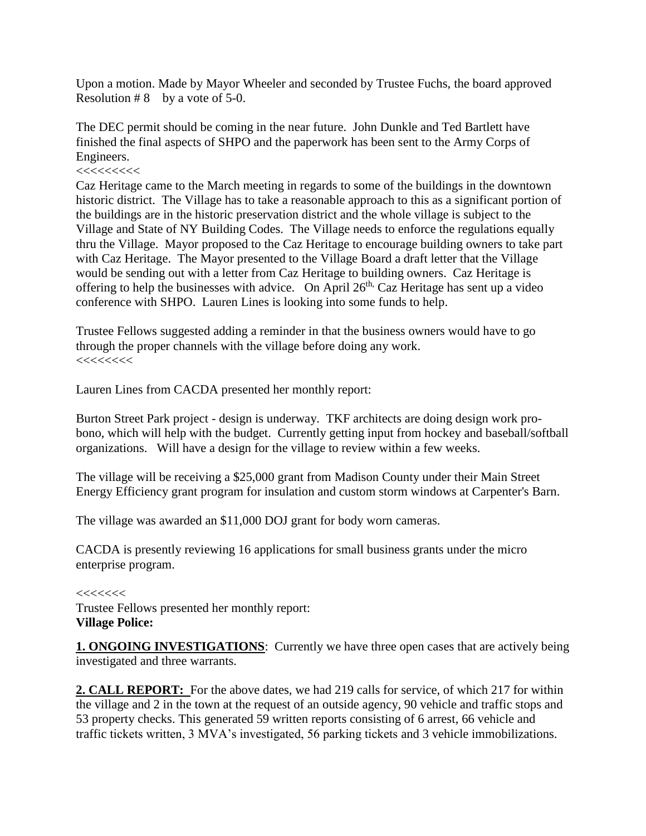Upon a motion. Made by Mayor Wheeler and seconded by Trustee Fuchs, the board approved Resolution  $# 8$  by a vote of 5-0.

The DEC permit should be coming in the near future. John Dunkle and Ted Bartlett have finished the final aspects of SHPO and the paperwork has been sent to the Army Corps of Engineers.

#### <<<<<<<<<

Caz Heritage came to the March meeting in regards to some of the buildings in the downtown historic district. The Village has to take a reasonable approach to this as a significant portion of the buildings are in the historic preservation district and the whole village is subject to the Village and State of NY Building Codes. The Village needs to enforce the regulations equally thru the Village. Mayor proposed to the Caz Heritage to encourage building owners to take part with Caz Heritage. The Mayor presented to the Village Board a draft letter that the Village would be sending out with a letter from Caz Heritage to building owners. Caz Heritage is offering to help the businesses with advice. On April  $26<sup>th</sup>$ , Caz Heritage has sent up a video conference with SHPO. Lauren Lines is looking into some funds to help.

Trustee Fellows suggested adding a reminder in that the business owners would have to go through the proper channels with the village before doing any work. <<<<<<<<

Lauren Lines from CACDA presented her monthly report:

Burton Street Park project - design is underway. TKF architects are doing design work probono, which will help with the budget. Currently getting input from hockey and baseball/softball organizations. Will have a design for the village to review within a few weeks.

The village will be receiving a \$25,000 grant from Madison County under their Main Street Energy Efficiency grant program for insulation and custom storm windows at Carpenter's Barn.

The village was awarded an \$11,000 DOJ grant for body worn cameras.

CACDA is presently reviewing 16 applications for small business grants under the micro enterprise program.

#### $<<<<<<$

Trustee Fellows presented her monthly report: **Village Police:**

**1. ONGOING INVESTIGATIONS**: Currently we have three open cases that are actively being investigated and three warrants.

**2. CALL REPORT:** For the above dates, we had 219 calls for service, of which 217 for within the village and 2 in the town at the request of an outside agency, 90 vehicle and traffic stops and 53 property checks. This generated 59 written reports consisting of 6 arrest, 66 vehicle and traffic tickets written, 3 MVA's investigated, 56 parking tickets and 3 vehicle immobilizations.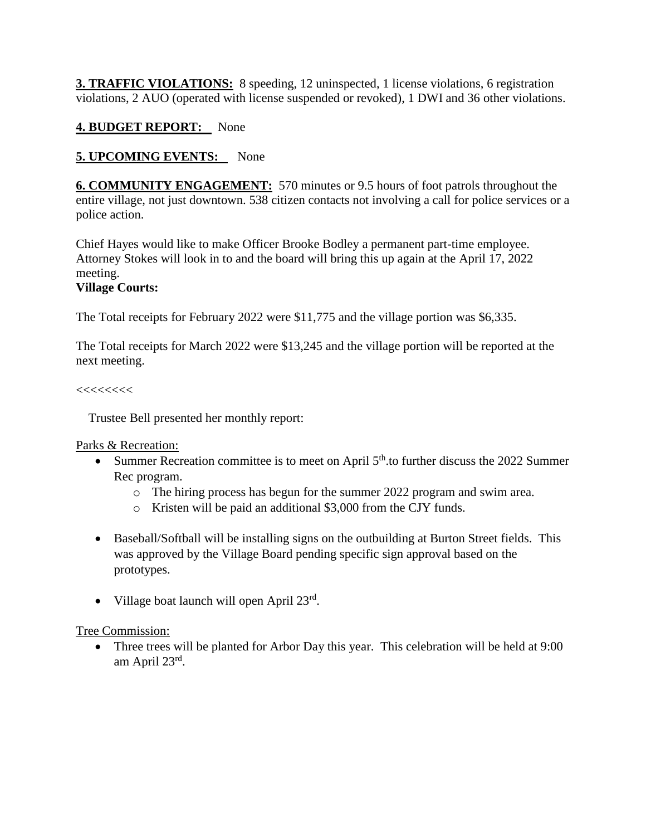**3. TRAFFIC VIOLATIONS:** 8 speeding, 12 uninspected, 1 license violations, 6 registration violations, 2 AUO (operated with license suspended or revoked), 1 DWI and 36 other violations.

# **4. BUDGET REPORT:** None

# **5. UPCOMING EVENTS:** None

**6. COMMUNITY ENGAGEMENT:** 570 minutes or 9.5 hours of foot patrols throughout the entire village, not just downtown. 538 citizen contacts not involving a call for police services or a police action.

Chief Hayes would like to make Officer Brooke Bodley a permanent part-time employee. Attorney Stokes will look in to and the board will bring this up again at the April 17, 2022 meeting.

# **Village Courts:**

The Total receipts for February 2022 were \$11,775 and the village portion was \$6,335.

The Total receipts for March 2022 were \$13,245 and the village portion will be reported at the next meeting.

#### $<<<<<<$

Trustee Bell presented her monthly report:

Parks & Recreation:

- Summer Recreation committee is to meet on April  $5<sup>th</sup>$  to further discuss the 2022 Summer Rec program.
	- o The hiring process has begun for the summer 2022 program and swim area.
	- o Kristen will be paid an additional \$3,000 from the CJY funds.
- Baseball/Softball will be installing signs on the outbuilding at Burton Street fields. This was approved by the Village Board pending specific sign approval based on the prototypes.
- Village boat launch will open April 23rd.

### Tree Commission:

• Three trees will be planted for Arbor Day this year. This celebration will be held at 9:00 am April 23<sup>rd</sup>.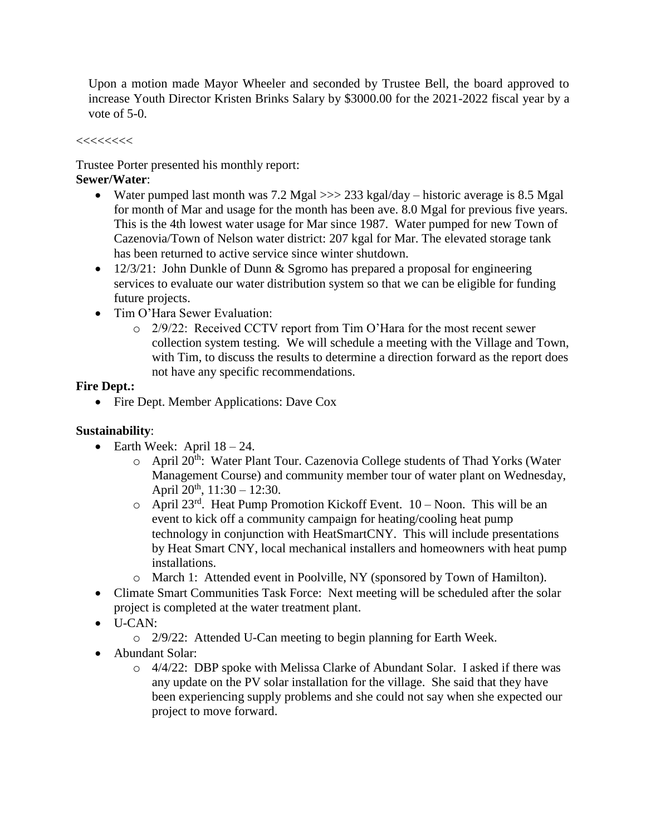Upon a motion made Mayor Wheeler and seconded by Trustee Bell, the board approved to increase Youth Director Kristen Brinks Salary by \$3000.00 for the 2021-2022 fiscal year by a vote of 5-0.

 $<<<<<<$ 

Trustee Porter presented his monthly report:

# **Sewer/Water**:

- Water pumped last month was 7.2 Mgal >>> 233 kgal/day historic average is 8.5 Mgal for month of Mar and usage for the month has been ave. 8.0 Mgal for previous five years. This is the 4th lowest water usage for Mar since 1987. Water pumped for new Town of Cazenovia/Town of Nelson water district: 207 kgal for Mar. The elevated storage tank has been returned to active service since winter shutdown.
- 12/3/21: John Dunkle of Dunn & Sgromo has prepared a proposal for engineering services to evaluate our water distribution system so that we can be eligible for funding future projects.
- Tim O'Hara Sewer Evaluation:
	- o 2/9/22: Received CCTV report from Tim O'Hara for the most recent sewer collection system testing. We will schedule a meeting with the Village and Town, with Tim, to discuss the results to determine a direction forward as the report does not have any specific recommendations.

# **Fire Dept.:**

• Fire Dept. Member Applications: Dave Cox

# **Sustainability**:

- Earth Week: April  $18 24$ .
	- $\circ$  April 20<sup>th</sup>: Water Plant Tour. Cazenovia College students of Thad Yorks (Water Management Course) and community member tour of water plant on Wednesday, April  $20^{th}$ ,  $11:30 - 12:30$ .
	- $\circ$  April 23<sup>rd</sup>. Heat Pump Promotion Kickoff Event. 10 Noon. This will be an event to kick off a community campaign for heating/cooling heat pump technology in conjunction with HeatSmartCNY. This will include presentations by Heat Smart CNY, local mechanical installers and homeowners with heat pump installations.
	- o March 1: Attended event in Poolville, NY (sponsored by Town of Hamilton).
- Climate Smart Communities Task Force: Next meeting will be scheduled after the solar project is completed at the water treatment plant.
- U-CAN:
	- o 2/9/22: Attended U-Can meeting to begin planning for Earth Week.
- Abundant Solar:
	- o 4/4/22: DBP spoke with Melissa Clarke of Abundant Solar. I asked if there was any update on the PV solar installation for the village. She said that they have been experiencing supply problems and she could not say when she expected our project to move forward.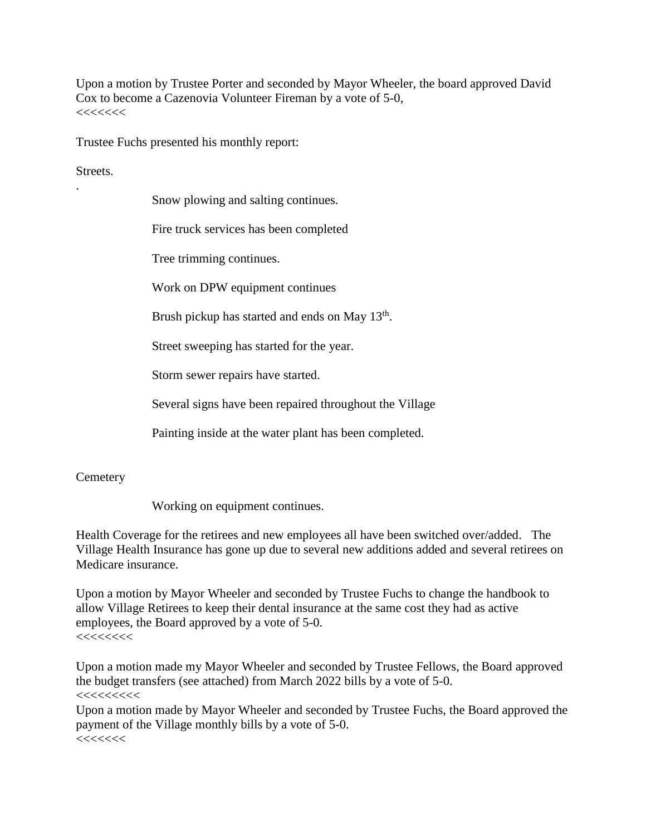Upon a motion by Trustee Porter and seconded by Mayor Wheeler, the board approved David Cox to become a Cazenovia Volunteer Fireman by a vote of 5-0, <<<<<<<

Trustee Fuchs presented his monthly report:

Streets.

.

Snow plowing and salting continues.

Fire truck services has been completed

Tree trimming continues.

Work on DPW equipment continues

Brush pickup has started and ends on May 13<sup>th</sup>.

Street sweeping has started for the year.

Storm sewer repairs have started.

Several signs have been repaired throughout the Village

Painting inside at the water plant has been completed.

#### **Cemetery**

Working on equipment continues.

Health Coverage for the retirees and new employees all have been switched over/added. The Village Health Insurance has gone up due to several new additions added and several retirees on Medicare insurance.

Upon a motion by Mayor Wheeler and seconded by Trustee Fuchs to change the handbook to allow Village Retirees to keep their dental insurance at the same cost they had as active employees, the Board approved by a vote of 5-0.  $<<<<<<$ 

Upon a motion made my Mayor Wheeler and seconded by Trustee Fellows, the Board approved the budget transfers (see attached) from March 2022 bills by a vote of 5-0.

 $<<<<<<<<$ 

Upon a motion made by Mayor Wheeler and seconded by Trustee Fuchs, the Board approved the payment of the Village monthly bills by a vote of 5-0.  $<<<<<<$